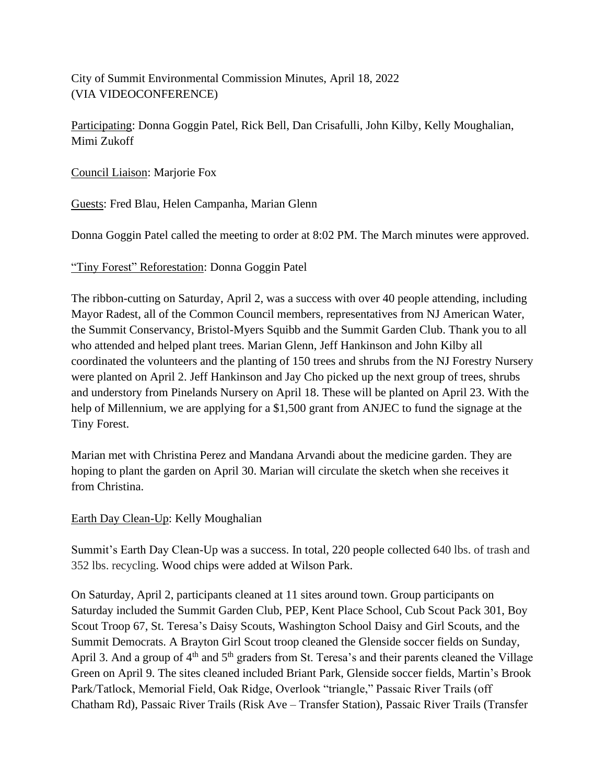City of Summit Environmental Commission Minutes, April 18, 2022 (VIA VIDEOCONFERENCE)

Participating: Donna Goggin Patel, Rick Bell, Dan Crisafulli, John Kilby, Kelly Moughalian, Mimi Zukoff

Council Liaison: Marjorie Fox

Guests: Fred Blau, Helen Campanha, Marian Glenn

Donna Goggin Patel called the meeting to order at 8:02 PM. The March minutes were approved.

"Tiny Forest" Reforestation: Donna Goggin Patel

The ribbon-cutting on Saturday, April 2, was a success with over 40 people attending, including Mayor Radest, all of the Common Council members, representatives from NJ American Water, the Summit Conservancy, Bristol-Myers Squibb and the Summit Garden Club. Thank you to all who attended and helped plant trees. Marian Glenn, Jeff Hankinson and John Kilby all coordinated the volunteers and the planting of 150 trees and shrubs from the NJ Forestry Nursery were planted on April 2. Jeff Hankinson and Jay Cho picked up the next group of trees, shrubs and understory from Pinelands Nursery on April 18. These will be planted on April 23. With the help of Millennium, we are applying for a \$1,500 grant from ANJEC to fund the signage at the Tiny Forest.

Marian met with Christina Perez and Mandana Arvandi about the medicine garden. They are hoping to plant the garden on April 30. Marian will circulate the sketch when she receives it from Christina.

Earth Day Clean-Up: Kelly Moughalian

Summit's Earth Day Clean-Up was a success. In total, 220 people collected 640 lbs. of trash and 352 lbs. recycling. Wood chips were added at Wilson Park.

On Saturday, April 2, participants cleaned at 11 sites around town. Group participants on Saturday included the Summit Garden Club, PEP, Kent Place School, Cub Scout Pack 301, Boy Scout Troop 67, St. Teresa's Daisy Scouts, Washington School Daisy and Girl Scouts, and the Summit Democrats. A Brayton Girl Scout troop cleaned the Glenside soccer fields on Sunday, April 3. And a group of 4<sup>th</sup> and 5<sup>th</sup> graders from St. Teresa's and their parents cleaned the Village Green on April 9. The sites cleaned included Briant Park, Glenside soccer fields, Martin's Brook Park/Tatlock, Memorial Field, Oak Ridge, Overlook "triangle," Passaic River Trails (off Chatham Rd), Passaic River Trails (Risk Ave – Transfer Station), Passaic River Trails (Transfer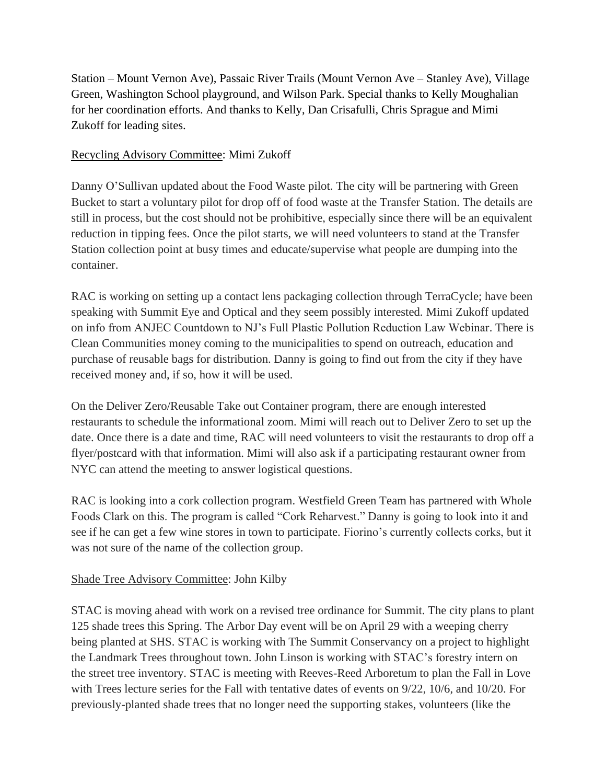Station – Mount Vernon Ave), Passaic River Trails (Mount Vernon Ave – Stanley Ave), Village Green, Washington School playground, and Wilson Park. Special thanks to Kelly Moughalian for her coordination efforts. And thanks to Kelly, Dan Crisafulli, Chris Sprague and Mimi Zukoff for leading sites.

#### Recycling Advisory Committee: Mimi Zukoff

Danny O'Sullivan updated about the Food Waste pilot. The city will be partnering with Green Bucket to start a voluntary pilot for drop off of food waste at the Transfer Station. The details are still in process, but the cost should not be prohibitive, especially since there will be an equivalent reduction in tipping fees. Once the pilot starts, we will need volunteers to stand at the Transfer Station collection point at busy times and educate/supervise what people are dumping into the container.

RAC is working on setting up a contact lens packaging collection through TerraCycle; have been speaking with Summit Eye and Optical and they seem possibly interested. Mimi Zukoff updated on info from ANJEC Countdown to NJ's Full Plastic Pollution Reduction Law Webinar. There is Clean Communities money coming to the municipalities to spend on outreach, education and purchase of reusable bags for distribution. Danny is going to find out from the city if they have received money and, if so, how it will be used.

On the Deliver Zero/Reusable Take out Container program, there are enough interested restaurants to schedule the informational zoom. Mimi will reach out to Deliver Zero to set up the date. Once there is a date and time, RAC will need volunteers to visit the restaurants to drop off a flyer/postcard with that information. Mimi will also ask if a participating restaurant owner from NYC can attend the meeting to answer logistical questions.

RAC is looking into a cork collection program. Westfield Green Team has partnered with Whole Foods Clark on this. The program is called "Cork Reharvest." Danny is going to look into it and see if he can get a few wine stores in town to participate. Fiorino's currently collects corks, but it was not sure of the name of the collection group.

## Shade Tree Advisory Committee: John Kilby

STAC is moving ahead with work on a revised tree ordinance for Summit. The city plans to plant 125 shade trees this Spring. The Arbor Day event will be on April 29 with a weeping cherry being planted at SHS. STAC is working with The Summit Conservancy on a project to highlight the Landmark Trees throughout town. John Linson is working with STAC's forestry intern on the street tree inventory. STAC is meeting with Reeves-Reed Arboretum to plan the Fall in Love with Trees lecture series for the Fall with tentative dates of events on 9/22, 10/6, and 10/20. For previously-planted shade trees that no longer need the supporting stakes, volunteers (like the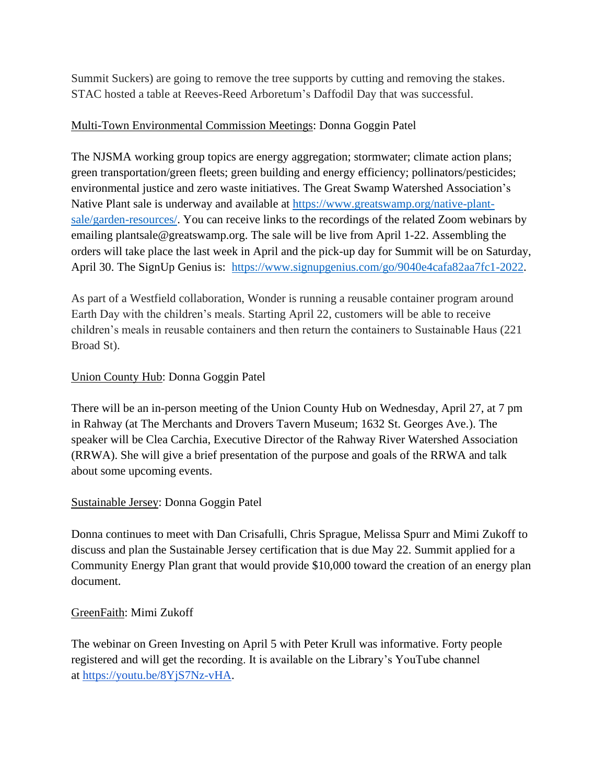Summit Suckers) are going to remove the tree supports by cutting and removing the stakes. STAC hosted a table at Reeves-Reed Arboretum's Daffodil Day that was successful.

# Multi-Town Environmental Commission Meetings: Donna Goggin Patel

The NJSMA working group topics are energy aggregation; stormwater; climate action plans; green transportation/green fleets; green building and energy efficiency; pollinators/pesticides; environmental justice and zero waste initiatives. The Great Swamp Watershed Association's Native Plant sale is underway and available at [https://www.greatswamp.org/native-plant](https://www.greatswamp.org/native-plant-sale/garden-resources/)[sale/garden-resources/.](https://www.greatswamp.org/native-plant-sale/garden-resources/) You can receive links to the recordings of the related Zoom webinars by emailing plantsale@greatswamp.org. The sale will be live from April 1-22. Assembling the orders will take place the last week in April and the pick-up day for Summit will be on Saturday, April 30. The SignUp Genius is: [https://www.signupgenius.com/go/9040e4cafa82aa7fc1-2022.](https://www.signupgenius.com/go/9040e4cafa82aa7fc1-2022)

As part of a Westfield collaboration, Wonder is running a reusable container program around Earth Day with the children's meals. Starting April 22, customers will be able to receive children's meals in reusable containers and then return the containers to Sustainable Haus (221 Broad St).

# Union County Hub: Donna Goggin Patel

There will be an in-person meeting of the Union County Hub on Wednesday, April 27, at 7 pm in Rahway (at The Merchants and Drovers Tavern Museum; 1632 St. Georges Ave.). The speaker will be Clea Carchia, Executive Director of the Rahway River Watershed Association (RRWA). She will give a brief presentation of the purpose and goals of the RRWA and talk about some upcoming events.

## Sustainable Jersey: Donna Goggin Patel

Donna continues to meet with Dan Crisafulli, Chris Sprague, Melissa Spurr and Mimi Zukoff to discuss and plan the Sustainable Jersey certification that is due May 22. Summit applied for a Community Energy Plan grant that would provide \$10,000 toward the creation of an energy plan document.

## GreenFaith: Mimi Zukoff

The webinar on Green Investing on April 5 with Peter Krull was informative. Forty people registered and will get the recording. It is available on the Library's YouTube channel at [https://youtu.be/8YjS7Nz-vHA.](https://youtu.be/8YjS7Nz-vHA)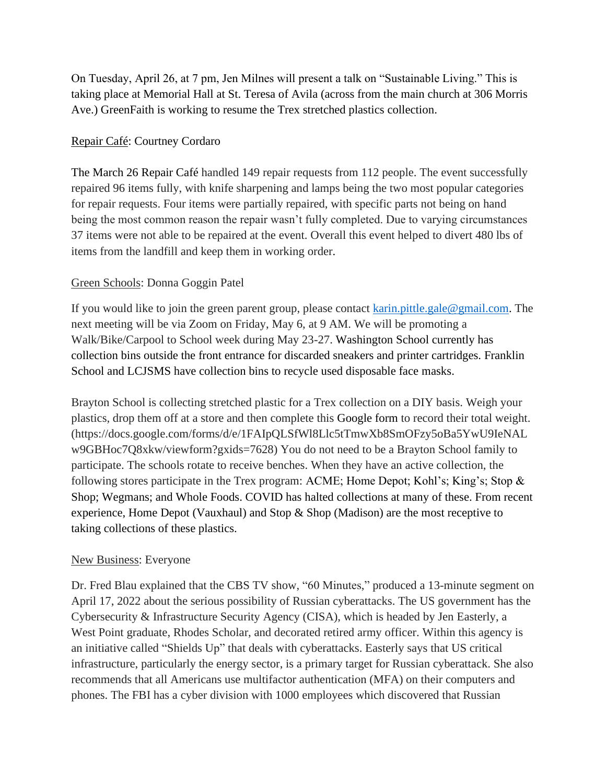On Tuesday, April 26, at 7 pm, Jen Milnes will present a talk on "Sustainable Living." This is taking place at Memorial Hall at St. Teresa of Avila (across from the main church at 306 Morris Ave.) GreenFaith is working to resume the Trex stretched plastics collection.

#### Repair Café: Courtney Cordaro

The March 26 Repair Café handled 149 repair requests from 112 people. The event successfully repaired 96 items fully, with knife sharpening and lamps being the two most popular categories for repair requests. Four items were partially repaired, with specific parts not being on hand being the most common reason the repair wasn't fully completed. Due to varying circumstances 37 items were not able to be repaired at the event. Overall this event helped to divert 480 lbs of items from the landfill and keep them in working order.

## Green Schools: Donna Goggin Patel

If you would like to join the green parent group, please contact [karin.pittle.gale@gmail.com.](mailto:karin.pittle.gale@gmail.com) The next meeting will be via Zoom on Friday, May 6, at 9 AM. We will be promoting a Walk/Bike/Carpool to School week during May 23-27. Washington School currently has collection bins outside the front entrance for discarded sneakers and printer cartridges. Franklin School and LCJSMS have collection bins to recycle used disposable face masks.

Brayton School is collecting stretched plastic for a Trex collection on a DIY basis. Weigh your plastics, drop them off at a store and then complete this Google form to record their total weight. (https://docs.google.com/forms/d/e/1FAIpQLSfWl8Llc5tTmwXb8SmOFzy5oBa5YwU9IeNAL w9GBHoc7Q8xkw/viewform?gxids=7628) You do not need to be a Brayton School family to participate. The schools rotate to receive benches. When they have an active collection, the following stores participate in the Trex program: ACME; Home Depot; Kohl's; King's; Stop & Shop; Wegmans; and Whole Foods. COVID has halted collections at many of these. From recent experience, Home Depot (Vauxhaul) and Stop & Shop (Madison) are the most receptive to taking collections of these plastics.

#### New Business: Everyone

Dr. Fred Blau explained that the CBS TV show, "60 Minutes," produced a 13-minute segment on April 17, 2022 about the serious possibility of Russian cyberattacks. The US government has the Cybersecurity & Infrastructure Security Agency (CISA), which is headed by Jen Easterly, a West Point graduate, Rhodes Scholar, and decorated retired army officer. Within this agency is an initiative called "Shields Up" that deals with cyberattacks. Easterly says that US critical infrastructure, particularly the energy sector, is a primary target for Russian cyberattack. She also recommends that all Americans use multifactor authentication (MFA) on their computers and phones. The FBI has a cyber division with 1000 employees which discovered that Russian